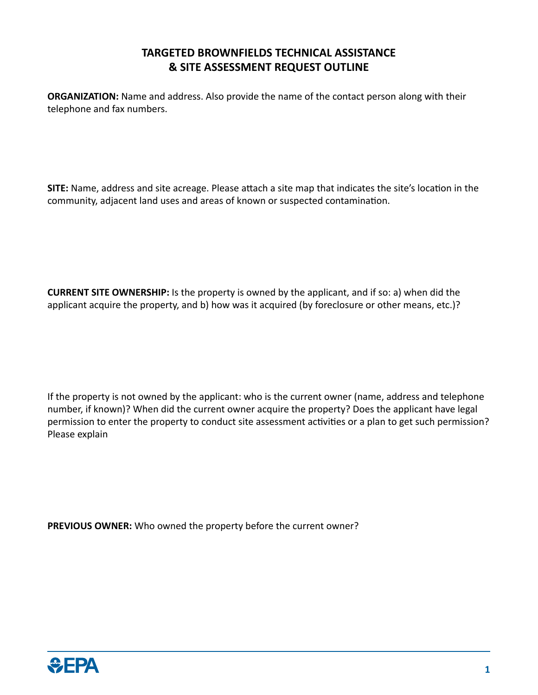## **TARGETED BROWNFIELDS TECHNICAL ASSISTANCE & SITE ASSESSMENT REQUEST OUTLINE**

**ORGANIZATION:** Name and address. Also provide the name of the contact person along with their telephone and fax numbers.

**SITE:** Name, address and site acreage. Please attach a site map that indicates the site's location in the community, adjacent land uses and areas of known or suspected contamination.

**CURRENT SITE OWNERSHIP:** Is the property is owned by the applicant, and if so: a) when did the applicant acquire the property, and b) how was it acquired (by foreclosure or other means, etc.)?

If the property is not owned by the applicant: who is the current owner (name, address and telephone number, if known)? When did the current owner acquire the property? Does the applicant have legal permission to enter the property to conduct site assessment activities or a plan to get such permission? Please explain

**PREVIOUS OWNER:** Who owned the property before the current owner?

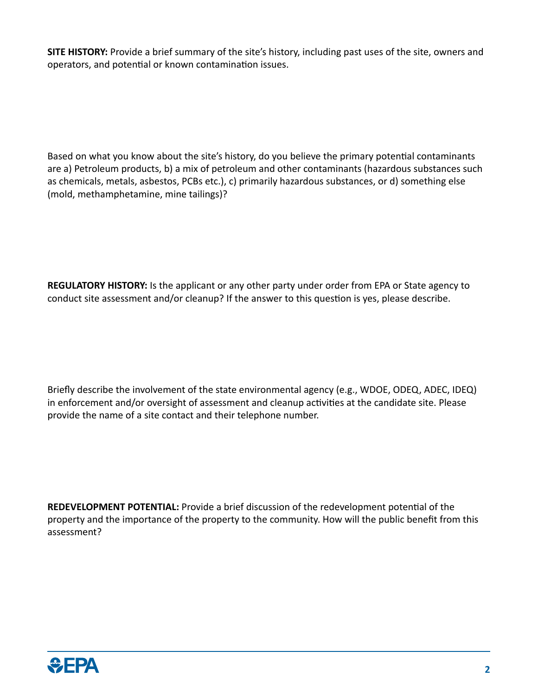**SITE HISTORY:** Provide a brief summary of the site's history, including past uses of the site, owners and operators, and potential or known contamination issues.

Based on what you know about the site's history, do you believe the primary potential contaminants are a) Petroleum products, b) a mix of petroleum and other contaminants (hazardous substances such as chemicals, metals, asbestos, PCBs etc.), c) primarily hazardous substances, or d) something else (mold, methamphetamine, mine tailings)?

**REGULATORY HISTORY:** Is the applicant or any other party under order from EPA or State agency to conduct site assessment and/or cleanup? If the answer to this question is yes, please describe.

Briefly describe the involvement of the state environmental agency (e.g., WDOE, ODEQ, ADEC, IDEQ) in enforcement and/or oversight of assessment and cleanup activities at the candidate site. Please provide the name of a site contact and their telephone number.

**REDEVELOPMENT POTENTIAL:** Provide a brief discussion of the redevelopment potential of the property and the importance of the property to the community. How will the public benefit from this assessment?

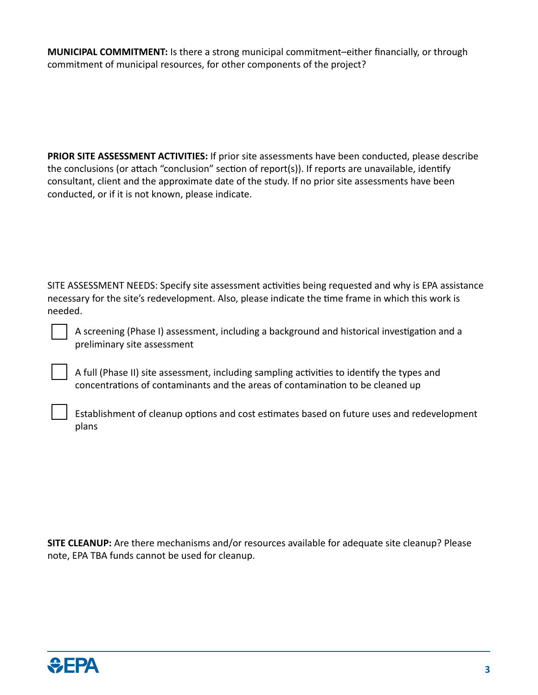**MUNICIPAL COMMITMENT:** Is there a strong municipal commitment–either financially, or through commitment of municipal resources, for other components of the project?

**PRIOR SITE ASSESSMENT ACTIVITIES:** If prior site assessments have been conducted, please describe the conclusions (or attach "conclusion" section of report(s)). If reports are unavailable, identify consultant, client and the approximate date of the study. If no prior site assessments have been conducted, or if it is not known, please indicate.

SITE ASSESSMENT NEEDS: Specify site assessment activities being requested and why is EPA assistance necessary for the site's redevelopment. Also, please indicate the time frame in which this work is needed.

A screening (Phase I) assessment, including a background and historical investigation and a preliminary site assessment

A full (Phase II) site assessment, including sampling activities to identify the types and concentrations of contaminants and the areas of contamination to be cleaned up

Establishment of cleanup options and cost estimates based on future uses and redevelopment plans

**SITE CLEANUP:** Are there mechanisms and/or resources available for adequate site cleanup? Please note, EPA TBA funds cannot be used for cleanup.